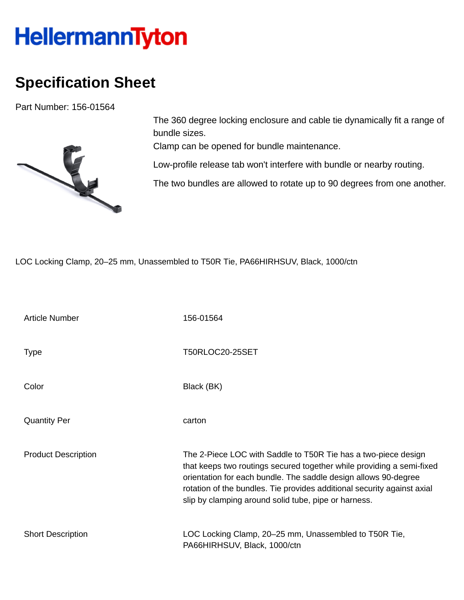## **HellermannTyton**

## **Specification Sheet**

Part Number: 156-01564



The 360 degree locking enclosure and cable tie dynamically fit a range of bundle sizes.

Clamp can be opened for bundle maintenance.

Low-profile release tab won't interfere with bundle or nearby routing.

The two bundles are allowed to rotate up to 90 degrees from one another.

LOC Locking Clamp, 20–25 mm, Unassembled to T50R Tie, PA66HIRHSUV, Black, 1000/ctn

| <b>Article Number</b>      | 156-01564                                                                                                                                                                                                                                                                                                                                     |
|----------------------------|-----------------------------------------------------------------------------------------------------------------------------------------------------------------------------------------------------------------------------------------------------------------------------------------------------------------------------------------------|
| <b>Type</b>                | T50RLOC20-25SET                                                                                                                                                                                                                                                                                                                               |
| Color                      | Black (BK)                                                                                                                                                                                                                                                                                                                                    |
| <b>Quantity Per</b>        | carton                                                                                                                                                                                                                                                                                                                                        |
| <b>Product Description</b> | The 2-Piece LOC with Saddle to T50R Tie has a two-piece design<br>that keeps two routings secured together while providing a semi-fixed<br>orientation for each bundle. The saddle design allows 90-degree<br>rotation of the bundles. Tie provides additional security against axial<br>slip by clamping around solid tube, pipe or harness. |
| <b>Short Description</b>   | LOC Locking Clamp, 20–25 mm, Unassembled to T50R Tie,<br>PA66HIRHSUV, Black, 1000/ctn                                                                                                                                                                                                                                                         |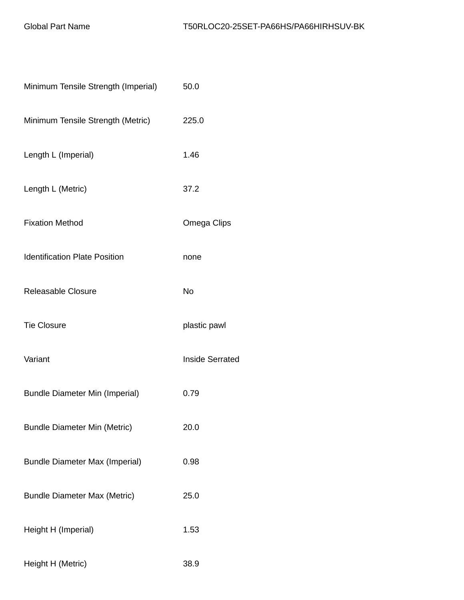| Minimum Tensile Strength (Imperial)   | 50.0                   |
|---------------------------------------|------------------------|
| Minimum Tensile Strength (Metric)     | 225.0                  |
| Length L (Imperial)                   | 1.46                   |
| Length L (Metric)                     | 37.2                   |
| <b>Fixation Method</b>                | Omega Clips            |
| <b>Identification Plate Position</b>  | none                   |
| <b>Releasable Closure</b>             | <b>No</b>              |
| <b>Tie Closure</b>                    | plastic pawl           |
| Variant                               | <b>Inside Serrated</b> |
| <b>Bundle Diameter Min (Imperial)</b> | 0.79                   |
| <b>Bundle Diameter Min (Metric)</b>   | 20.0                   |
| <b>Bundle Diameter Max (Imperial)</b> | 0.98                   |
| <b>Bundle Diameter Max (Metric)</b>   | 25.0                   |
| Height H (Imperial)                   | 1.53                   |
| Height H (Metric)                     | 38.9                   |